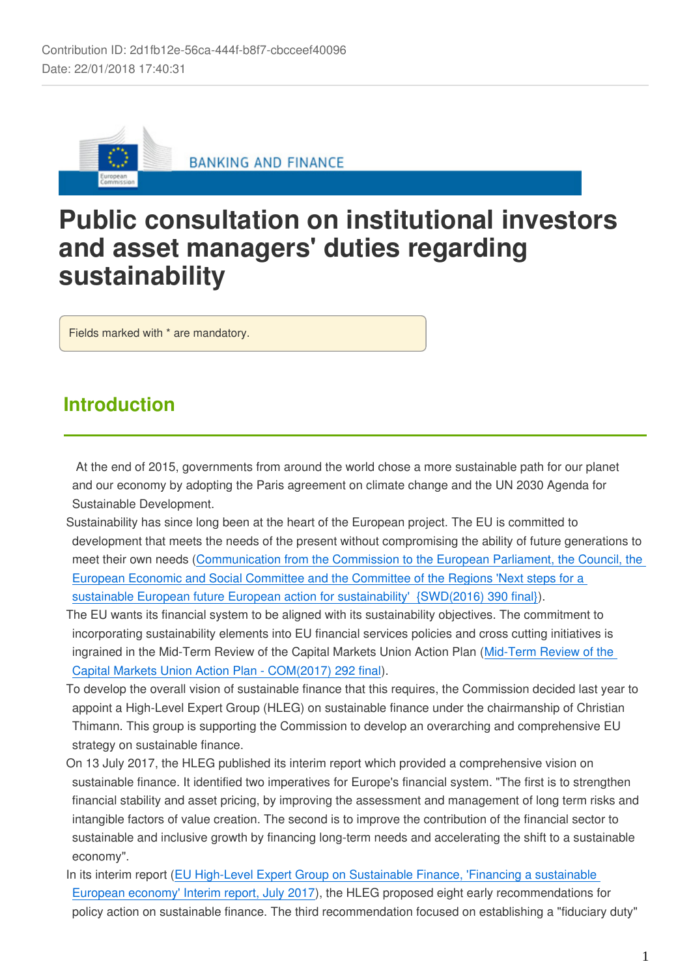

# **Public consultation on institutional investors and asset managers' duties regarding sustainability**

Fields marked with \* are mandatory.

## **Introduction**

 At the end of 2015, governments from around the world chose a more sustainable path for our planet and our economy by adopting the Paris agreement on climate change and the UN 2030 Agenda for Sustainable Development.

- Sustainability has since long been at the heart of the European project. The EU is committed to development that meets the needs of the present without compromising the ability of future generations to meet their own needs [\(Communication from the Commission to the European Parliament, the Council, the](https://ec.europa.eu/europeaid/commission-communication-next-steps-sustainable-european-future_en)  [European Economic and Social Committee and the Committee of the Regions 'Next steps for a](https://ec.europa.eu/europeaid/commission-communication-next-steps-sustainable-european-future_en)  [sustainable European future European action for sustainability' {SWD\(2016\) 390 final}\)](https://ec.europa.eu/europeaid/commission-communication-next-steps-sustainable-european-future_en).
- The EU wants its financial system to be aligned with its sustainability objectives. The commitment to incorporating sustainability elements into EU financial services policies and cross cutting initiatives is ingrained in the Mid-Term Review of the Capital Markets Union Action Plan [\(Mid-Term Review of the](https://ec.europa.eu/info/sites/info/files/communication-cmu-mid-term-review)  [Capital Markets Union Action Plan - COM\(2017\) 292 final\)](https://ec.europa.eu/info/sites/info/files/communication-cmu-mid-term-review).
- To develop the overall vision of sustainable finance that this requires, the Commission decided last year to appoint a High-Level Expert Group (HLEG) on sustainable finance under the chairmanship of Christian Thimann. This group is supporting the Commission to develop an overarching and comprehensive EU strategy on sustainable finance.
- On 13 July 2017, the HLEG published its interim report which provided a comprehensive vision on sustainable finance. It identified two imperatives for Europe's financial system. "The first is to strengthen financial stability and asset pricing, by improving the assessment and management of long term risks and intangible factors of value creation. The second is to improve the contribution of the financial sector to sustainable and inclusive growth by financing long-term needs and accelerating the shift to a sustainable economy".
- In its interim report [\(EU High-Level Expert Group on Sustainable Finance, 'Financing a sustainable](https://ec.europa.eu/info/publications/170713-sustainable-finance-report_en)  [European economy' Interim report, July 2017\)](https://ec.europa.eu/info/publications/170713-sustainable-finance-report_en), the HLEG proposed eight early recommendations for policy action on sustainable finance. The third recommendation focused on establishing a "fiduciary duty"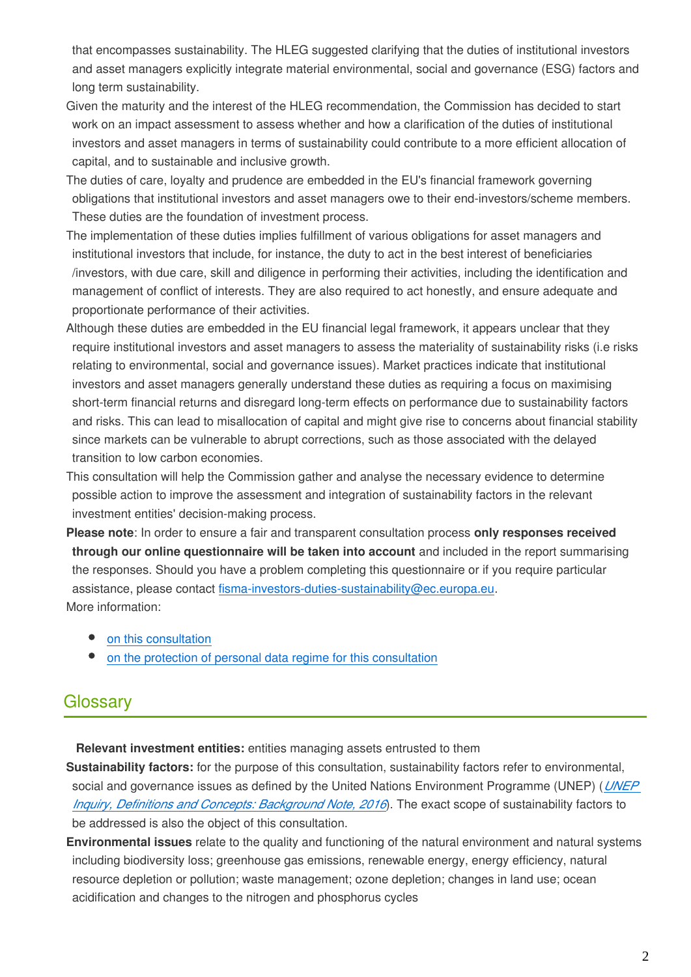that encompasses sustainability. The HLEG suggested clarifying that the duties of institutional investors and asset managers explicitly integrate material environmental, social and governance (ESG) factors and long term sustainability.

- Given the maturity and the interest of the HLEG recommendation, the Commission has decided to start work on an impact assessment to assess whether and how a clarification of the duties of institutional investors and asset managers in terms of sustainability could contribute to a more efficient allocation of capital, and to sustainable and inclusive growth.
- The duties of care, loyalty and prudence are embedded in the EU's financial framework governing obligations that institutional investors and asset managers owe to their end-investors/scheme members. These duties are the foundation of investment process.
- The implementation of these duties implies fulfillment of various obligations for asset managers and institutional investors that include, for instance, the duty to act in the best interest of beneficiaries /investors, with due care, skill and diligence in performing their activities, including the identification and management of conflict of interests. They are also required to act honestly, and ensure adequate and proportionate performance of their activities.
- Although these duties are embedded in the EU financial legal framework, it appears unclear that they require institutional investors and asset managers to assess the materiality of sustainability risks (i.e risks relating to environmental, social and governance issues). Market practices indicate that institutional investors and asset managers generally understand these duties as requiring a focus on maximising short-term financial returns and disregard long-term effects on performance due to sustainability factors and risks. This can lead to misallocation of capital and might give rise to concerns about financial stability since markets can be vulnerable to abrupt corrections, such as those associated with the delayed transition to low carbon economies.
- This consultation will help the Commission gather and analyse the necessary evidence to determine possible action to improve the assessment and integration of sustainability factors in the relevant investment entities' decision-making process.
- **Please note**: In order to ensure a fair and transparent consultation process **only responses received through our online questionnaire will be taken into account** and included in the report summarising the responses. Should you have a problem completing this questionnaire or if you require particular assistance, please contact fisma-investors-duties-sustainability@ec.europa.eu. More information:
	- [on this consultation](https://ec.europa.eu/info/consultations/finance-2017-investors-duties-sustainability_en)
	- [on the protection of personal data regime for this consultation](https://ec.europa.eu/info/files/specific-privacy-statement-institutional-investors-and-asset-managers-duties-regarding-sustainability_en)

## Glossary

**Relevant investment entities:** entities managing assets entrusted to them

**Sustainability factors:** for the purpose of this consultation, sustainability factors refer to environmental, social and governance issues as defined by the United Nations Environment Programme (UNEP) (*[UNEP](https://ec.europa.eu/eusurvey/UNEP Inquiry, Definitions and Concepts: Background Note, 2016)  [Inquiry, Definitions and Concepts: Background Note, 2016](https://ec.europa.eu/eusurvey/UNEP Inquiry, Definitions and Concepts: Background Note, 2016)*). The exact scope of sustainability factors to be addressed is also the object of this consultation.

**Environmental issues** relate to the quality and functioning of the natural environment and natural systems including biodiversity loss; greenhouse gas emissions, renewable energy, energy efficiency, natural resource depletion or pollution; waste management; ozone depletion; changes in land use; ocean acidification and changes to the nitrogen and phosphorus cycles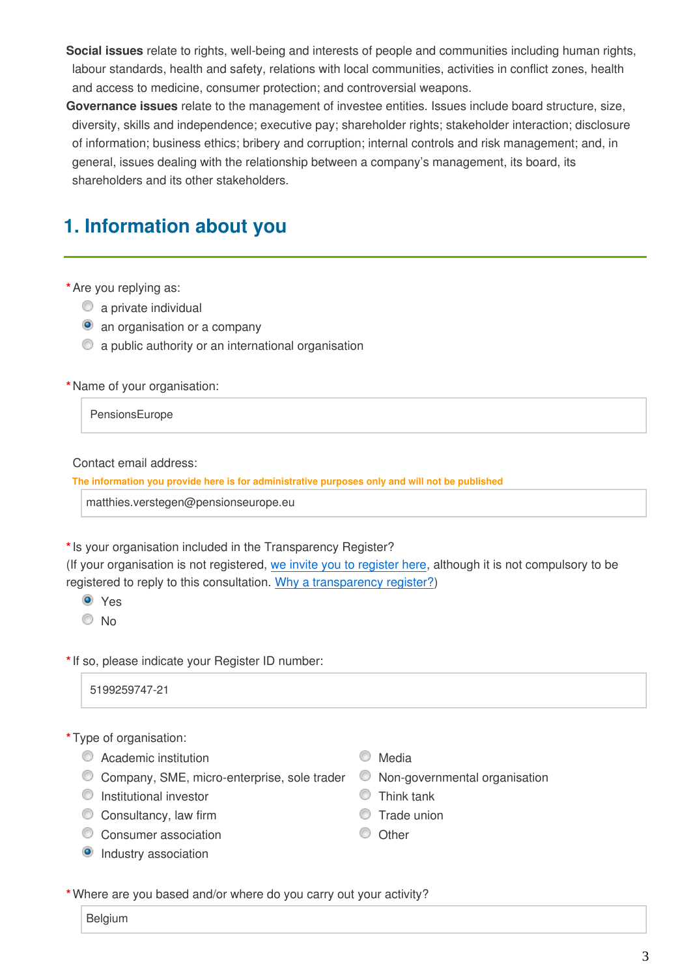**Social issues** relate to rights, well-being and interests of people and communities including human rights, labour standards, health and safety, relations with local communities, activities in conflict zones, health and access to medicine, consumer protection; and controversial weapons.

**Governance issues** relate to the management of investee entities. Issues include board structure, size, diversity, skills and independence; executive pay; shareholder rights; stakeholder interaction; disclosure of information; business ethics; bribery and corruption; internal controls and risk management; and, in general, issues dealing with the relationship between a company's management, its board, its shareholders and its other stakeholders.

## **1. Information about you**

**\***Are you replying as:

- **a** private individual
- **a** an organisation or a company
- a public authority or an international organisation

**\***Name of your organisation:

PensionsEurope

Contact email address:

**The information you provide here is for administrative purposes only and will not be published**

matthies.verstegen@pensionseurope.eu

**\***Is your organisation included in the Transparency Register?

(If your organisation is not registered, [we invite you to register here,](http://ec.europa.eu/transparencyregister/public/homePage.do?locale=en) although it is not compulsory to be registered to reply to this consultation. [Why a transparency register?](http://ec.europa.eu/transparencyregister/public/staticPage/displayStaticPage.do?locale=en&reference=WHY_TRANSPARENCY_REGISTER))

Yes

 $\odot$  No

**\***If so, please indicate your Register ID number:

5199259747-21

#### **\***Type of organisation:

- C Academic institution C Media
- $\degree$  Company, SME, micro-enterprise, sole trader  $\degree$  Non-governmental organisation
- Institutional investor Think tank
- Consultancy, law firm  $\circ$  Trade union
- Consumer association Consumer association
- **O** Industry association
- 
- 
- 
- 
- 

**\***Where are you based and/or where do you carry out your activity?

Belgium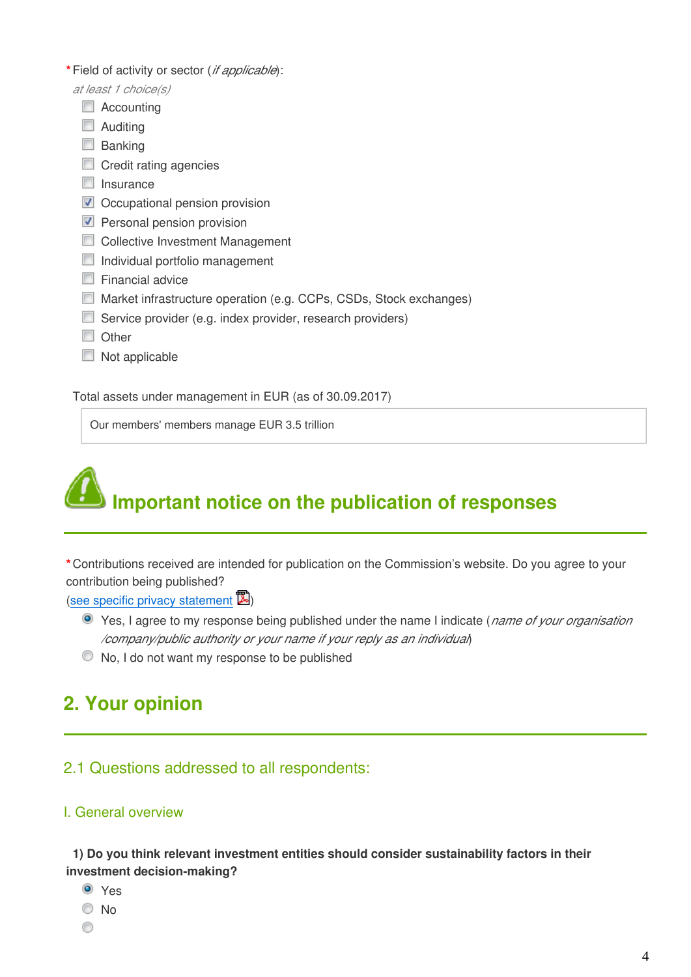- **\***Field of activity or sector (*if applicable*):
	- *at least 1 choice(s)*
		- Accounting
		- **Auditing**
		- **Banking**
		- Credit rating agencies
		- $\Box$  Insurance
		- Occupational pension provision
		- **Personal pension provision**
		- Collective Investment Management
		- Individual portfolio management
		- $\Box$  Financial advice
		- Market infrastructure operation (e.g. CCPs, CSDs, Stock exchanges)
		- Service provider (e.g. index provider, research providers)
		- Other
		- $\Box$  Not applicable

Total assets under management in EUR (as of 30.09.2017)

Our members' members manage EUR 3.5 trillion



**\***Contributions received are intended for publication on the Commission's website. Do you agree to your contribution being published?

#### ([see specific privacy statement](http://ec.europa.eu/info/node/)  $\mathbb{Z}$ )

- Yes, I agree to my response being published under the name I indicate (*name of your organisation /company/public authority or your name if your reply as an individual*)
- $\bullet$  No, I do not want my response to be published

## **2. Your opinion**

### 2.1 Questions addressed to all respondents:

#### I. General overview

**1) Do you think relevant investment entities should consider sustainability factors in their investment decision-making?**

- Yes
- $\odot$  No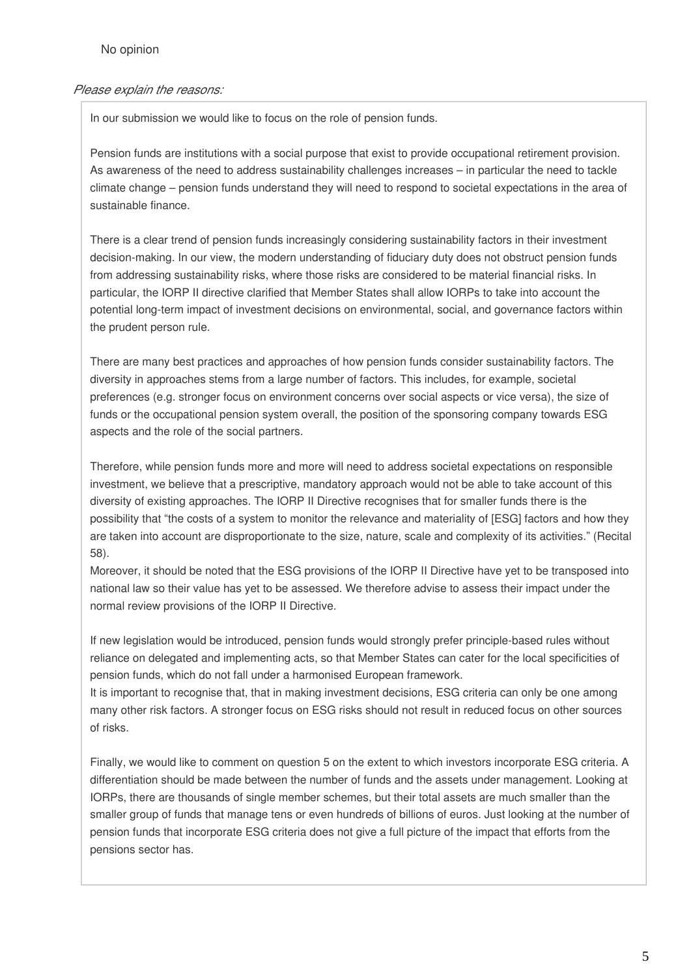#### *Please explain the reasons:*

In our submission we would like to focus on the role of pension funds.

Pension funds are institutions with a social purpose that exist to provide occupational retirement provision. As awareness of the need to address sustainability challenges increases – in particular the need to tackle climate change – pension funds understand they will need to respond to societal expectations in the area of sustainable finance.

There is a clear trend of pension funds increasingly considering sustainability factors in their investment decision-making. In our view, the modern understanding of fiduciary duty does not obstruct pension funds from addressing sustainability risks, where those risks are considered to be material financial risks. In particular, the IORP II directive clarified that Member States shall allow IORPs to take into account the potential long-term impact of investment decisions on environmental, social, and governance factors within the prudent person rule.

There are many best practices and approaches of how pension funds consider sustainability factors. The diversity in approaches stems from a large number of factors. This includes, for example, societal preferences (e.g. stronger focus on environment concerns over social aspects or vice versa), the size of funds or the occupational pension system overall, the position of the sponsoring company towards ESG aspects and the role of the social partners.

Therefore, while pension funds more and more will need to address societal expectations on responsible investment, we believe that a prescriptive, mandatory approach would not be able to take account of this diversity of existing approaches. The IORP II Directive recognises that for smaller funds there is the possibility that "the costs of a system to monitor the relevance and materiality of [ESG] factors and how they are taken into account are disproportionate to the size, nature, scale and complexity of its activities." (Recital 58).

Moreover, it should be noted that the ESG provisions of the IORP II Directive have yet to be transposed into national law so their value has yet to be assessed. We therefore advise to assess their impact under the normal review provisions of the IORP II Directive.

If new legislation would be introduced, pension funds would strongly prefer principle-based rules without reliance on delegated and implementing acts, so that Member States can cater for the local specificities of pension funds, which do not fall under a harmonised European framework.

It is important to recognise that, that in making investment decisions, ESG criteria can only be one among many other risk factors. A stronger focus on ESG risks should not result in reduced focus on other sources of risks.

Finally, we would like to comment on question 5 on the extent to which investors incorporate ESG criteria. A differentiation should be made between the number of funds and the assets under management. Looking at IORPs, there are thousands of single member schemes, but their total assets are much smaller than the smaller group of funds that manage tens or even hundreds of billions of euros. Just looking at the number of pension funds that incorporate ESG criteria does not give a full picture of the impact that efforts from the pensions sector has.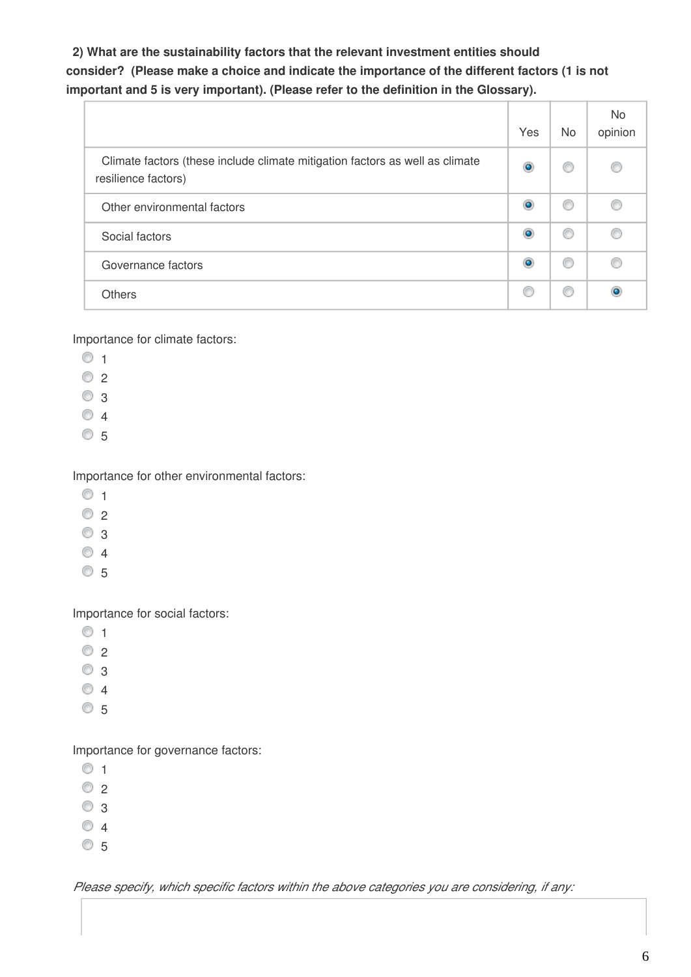**2) What are the sustainability factors that the relevant investment entities should consider? (Please make a choice and indicate the importance of the different factors (1 is not important and 5 is very important). (Please refer to the definition in the Glossary).**

|                                                                                                     | Yes | No. | No.<br>opinion |
|-----------------------------------------------------------------------------------------------------|-----|-----|----------------|
| Climate factors (these include climate mitigation factors as well as climate<br>resilience factors) |     | €   |                |
| Other environmental factors                                                                         |     | €   |                |
| Social factors                                                                                      |     | €   |                |
| Governance factors                                                                                  |     | Œ   |                |
| <b>Others</b>                                                                                       |     | œ   |                |

Importance for climate factors:

- $\circ$  1
- $\circ$  2
- $\circ$  3
- $\circ$  4
- $\circ$  5

Importance for other environmental factors:

- $\circ$  1
- $\circ$  2
- $\circ$  3
- $\circ$  4
- $\circ$  5

Importance for social factors:

- $\circ$  1
- $\circ$  2
- $\circ$  3
- $\circ$  4
- $\circ$  5

Importance for governance factors:

- $\circ$  1
- $\circ$  2
- $\odot$  3
- $\circ$  4
- $\circ$  5

*Please specify, which specific factors within the above categories you are considering, if any:*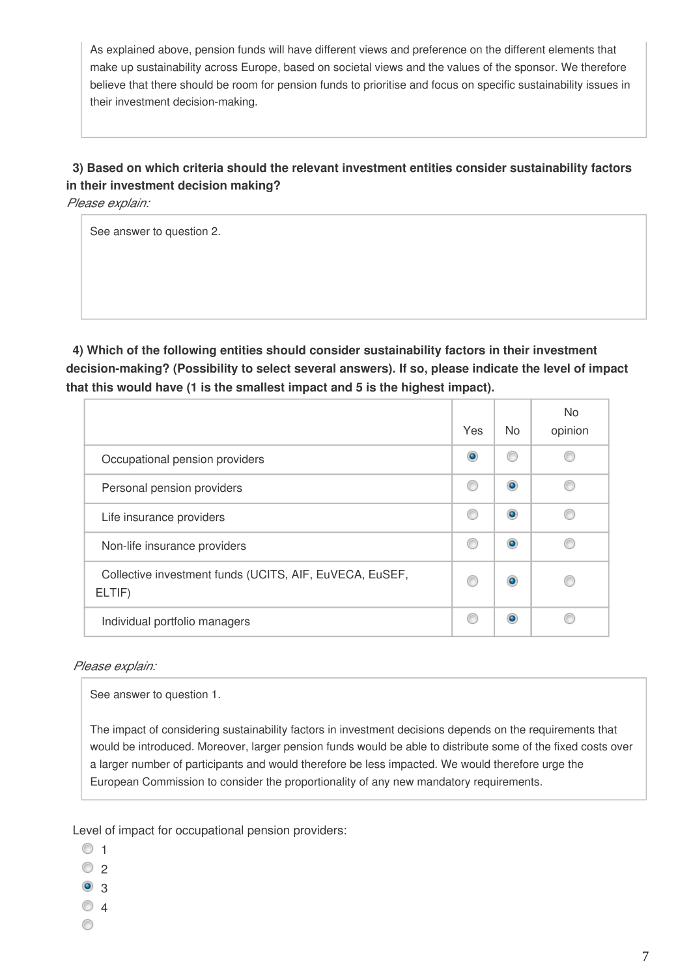As explained above, pension funds will have different views and preference on the different elements that make up sustainability across Europe, based on societal views and the values of the sponsor. We therefore believe that there should be room for pension funds to prioritise and focus on specific sustainability issues in their investment decision-making.

### **3) Based on which criteria should the relevant investment entities consider sustainability factors in their investment decision making?**

*Please explain:*

See answer to question 2.

**4) Which of the following entities should consider sustainability factors in their investment decision-making? (Possibility to select several answers). If so, please indicate the level of impact that this would have (1 is the smallest impact and 5 is the highest impact).**

|                                                                   | Yes | N <sub>o</sub> | <b>No</b><br>opinion |
|-------------------------------------------------------------------|-----|----------------|----------------------|
| Occupational pension providers                                    | ۰   |                |                      |
| Personal pension providers                                        |     |                |                      |
| Life insurance providers                                          |     |                |                      |
| Non-life insurance providers                                      |     |                |                      |
| Collective investment funds (UCITS, AIF, EuVECA, EuSEF,<br>ELTIF) |     |                |                      |
| Individual portfolio managers                                     |     |                |                      |

#### *Please explain:*

See answer to question 1.

The impact of considering sustainability factors in investment decisions depends on the requirements that would be introduced. Moreover, larger pension funds would be able to distribute some of the fixed costs over a larger number of participants and would therefore be less impacted. We would therefore urge the European Commission to consider the proportionality of any new mandatory requirements.

Level of impact for occupational pension providers:

- $\circ$  1
- $\circ$  2
- <sup>3</sup>
- $\circ$  4
- ⊙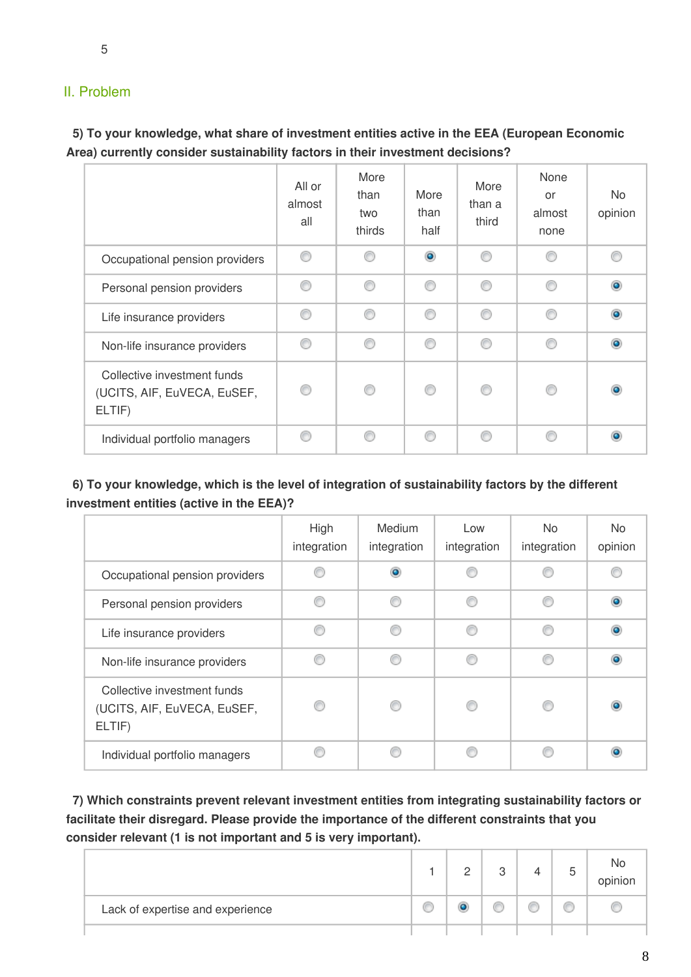### II. Problem

**5) To your knowledge, what share of investment entities active in the EEA (European Economic Area) currently consider sustainability factors in their investment decisions?**

|                                                                      | All or<br>almost<br>all | More<br>than<br>two<br>thirds | More<br>than<br>half | More<br>than a<br>third | None<br>or<br>almost<br>none | No.<br>opinion |  |  |  |   |  |
|----------------------------------------------------------------------|-------------------------|-------------------------------|----------------------|-------------------------|------------------------------|----------------|--|--|--|---|--|
| Occupational pension providers                                       | ∩                       | ∩                             | $\circledcirc$       | ∩                       | ⋒                            |                |  |  |  |   |  |
| Personal pension providers                                           | ∩                       | ⊙                             | ⊙                    | ∩                       | ⊙                            |                |  |  |  |   |  |
| Life insurance providers                                             | ⋒                       | ⊙                             | ◎                    | ∩                       | ◎                            |                |  |  |  |   |  |
| Non-life insurance providers                                         | ⋒                       | ⋒<br>∩<br>⋒<br>∩<br>⋒         | ⋒                    |                         |                              |                |  |  |  | C |  |
| Collective investment funds<br>(UCITS, AIF, EuVECA, EuSEF,<br>ELTIF) |                         |                               |                      | ∩                       | €                            |                |  |  |  |   |  |
| Individual portfolio managers                                        | ⋒                       | ⋒                             | ⋒                    | ⋒                       |                              |                |  |  |  |   |  |

**6) To your knowledge, which is the level of integration of sustainability factors by the different investment entities (active in the EEA)?**

|                                                                      | High<br>integration | <b>Medium</b><br>integration | Low<br>integration | No.<br>integration | N <sub>o</sub><br>opinion |
|----------------------------------------------------------------------|---------------------|------------------------------|--------------------|--------------------|---------------------------|
| Occupational pension providers                                       |                     |                              |                    |                    |                           |
| Personal pension providers                                           |                     |                              | e                  |                    |                           |
| Life insurance providers                                             |                     |                              |                    |                    |                           |
| Non-life insurance providers                                         |                     |                              |                    |                    |                           |
| Collective investment funds<br>(UCITS, AIF, EuVECA, EuSEF,<br>ELTIF) |                     |                              | C                  |                    |                           |
| Individual portfolio managers                                        |                     |                              |                    |                    |                           |

**7) Which constraints prevent relevant investment entities from integrating sustainability factors or facilitate their disregard. Please provide the importance of the different constraints that you consider relevant (1 is not important and 5 is very important).**

|                                  | ◠ | ↷<br>v. | ∽<br>J | No<br>opinion |
|----------------------------------|---|---------|--------|---------------|
| Lack of expertise and experience |   |         | C      |               |
|                                  |   |         |        |               |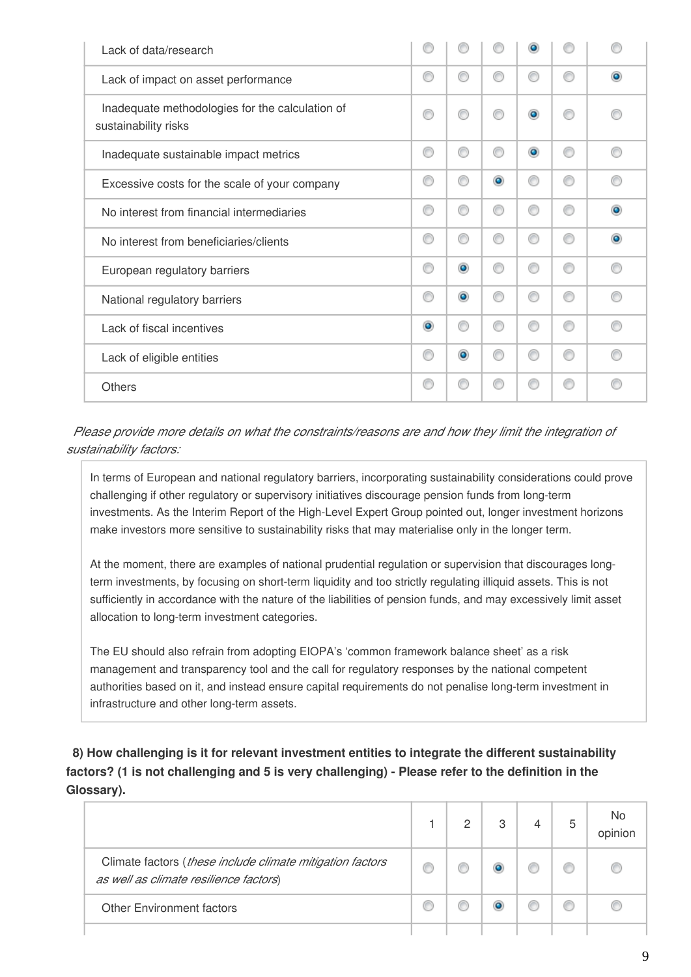| Lack of data/research                                                   | C         |           |           | о              |   |           |
|-------------------------------------------------------------------------|-----------|-----------|-----------|----------------|---|-----------|
| Lack of impact on asset performance                                     | C         |           |           | ◎              | ⋒ | $\bullet$ |
| Inadequate methodologies for the calculation of<br>sustainability risks | ⊙         | ⋒         |           | $\circledcirc$ |   |           |
| Inadequate sustainable impact metrics                                   | O         | ⊙         | €         | $\circledcirc$ | ∩ | ∩         |
| Excessive costs for the scale of your company                           | C         | ∩         | $\bullet$ | ⊙              | ∩ | ⋒         |
| No interest from financial intermediaries                               | O         | ∩         | €         | ⊙              | ⋒ | $\bullet$ |
| No interest from beneficiaries/clients                                  | O         | ⊙         | C         | ⊙              | ⋒ | $\bullet$ |
| European regulatory barriers                                            | O         | $\bullet$ | €         | ⊙              | ∩ | ∩         |
| National regulatory barriers                                            | ⊙         | $\bullet$ | C         | ⊙              | ⋒ | ∩         |
| Lack of fiscal incentives                                               | $\bullet$ | ∩         | ⋒         | ⊙              | ∩ | ∩         |
| Lack of eligible entities                                               | ⊙         | $\bullet$ | ⋒         | ⊙              | ∩ | ⋒         |
| <b>Others</b>                                                           | ⊙         | ⋒         | ⋒         | ⊙              | ⋒ | ⋒         |

*Please provide more details on what the constraints/reasons are and how they limit the integration of sustainability factors:*

In terms of European and national regulatory barriers, incorporating sustainability considerations could prove challenging if other regulatory or supervisory initiatives discourage pension funds from long-term investments. As the Interim Report of the High-Level Expert Group pointed out, longer investment horizons make investors more sensitive to sustainability risks that may materialise only in the longer term.

At the moment, there are examples of national prudential regulation or supervision that discourages longterm investments, by focusing on short-term liquidity and too strictly regulating illiquid assets. This is not sufficiently in accordance with the nature of the liabilities of pension funds, and may excessively limit asset allocation to long-term investment categories.

The EU should also refrain from adopting EIOPA's 'common framework balance sheet' as a risk management and transparency tool and the call for regulatory responses by the national competent authorities based on it, and instead ensure capital requirements do not penalise long-term investment in infrastructure and other long-term assets.

**8) How challenging is it for relevant investment entities to integrate the different sustainability factors? (1 is not challenging and 5 is very challenging) - Please refer to the definition in the Glossary).**

|                                                                                                     | 2 | 3 | 5 | No<br>opinion |
|-----------------------------------------------------------------------------------------------------|---|---|---|---------------|
| Climate factors (these include climate mitigation factors<br>as well as climate resilience factors) |   |   |   |               |
| <b>Other Environment factors</b>                                                                    |   |   |   |               |
|                                                                                                     |   |   |   |               |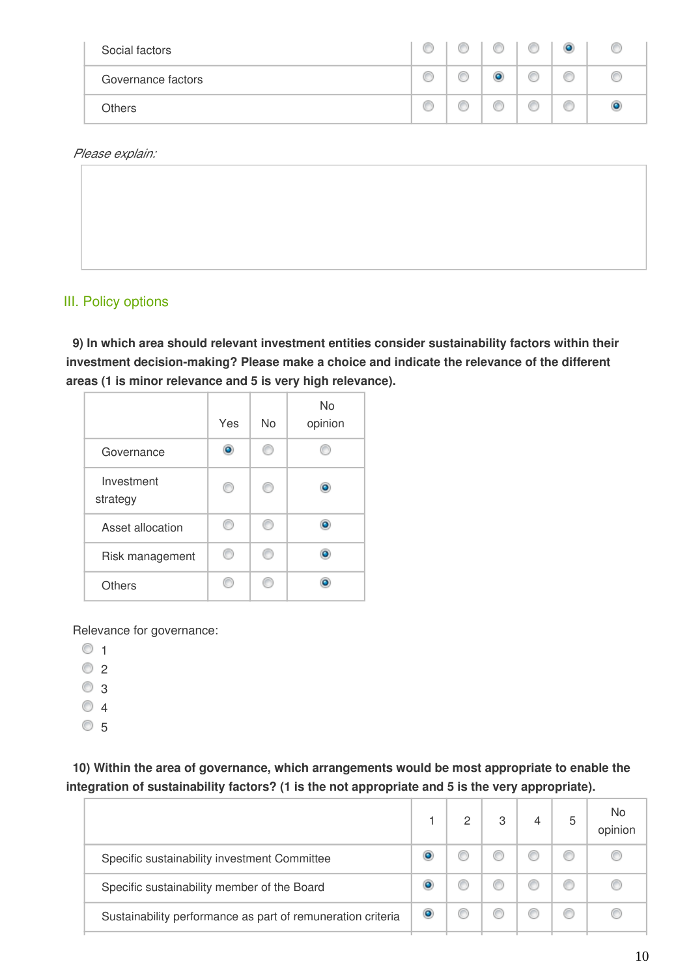| Social factors     | Œ | Ô | C | ۱ |  |
|--------------------|---|---|---|---|--|
| Governance factors | C | f | C | Ô |  |
| <b>Others</b>      | e | f | C | C |  |

*Please explain:*

### III. Policy options

**9) In which area should relevant investment entities consider sustainability factors within their investment decision-making? Please make a choice and indicate the relevance of the different areas (1 is minor relevance and 5 is very high relevance).**

|                        | Yes | No | <b>No</b><br>opinion |
|------------------------|-----|----|----------------------|
| Governance             |     |    |                      |
| Investment<br>strategy |     |    | ٥                    |
| Asset allocation       |     |    |                      |
| Risk management        |     |    |                      |
| Others                 |     |    |                      |

Relevance for governance:

- $\circ$  1
- $\circ$  2
- $\odot$  3
- $\circ$  4
- $\circ$  5

#### **10) Within the area of governance, which arrangements would be most appropriate to enable the integration of sustainability factors? (1 is the not appropriate and 5 is the very appropriate).**

|                                                             |   | 2 | 3 | 5 | No<br>opinion |
|-------------------------------------------------------------|---|---|---|---|---------------|
| Specific sustainability investment Committee                |   |   |   |   |               |
| Specific sustainability member of the Board                 |   |   |   |   |               |
| Sustainability performance as part of remuneration criteria | o |   |   |   |               |
|                                                             |   |   |   |   |               |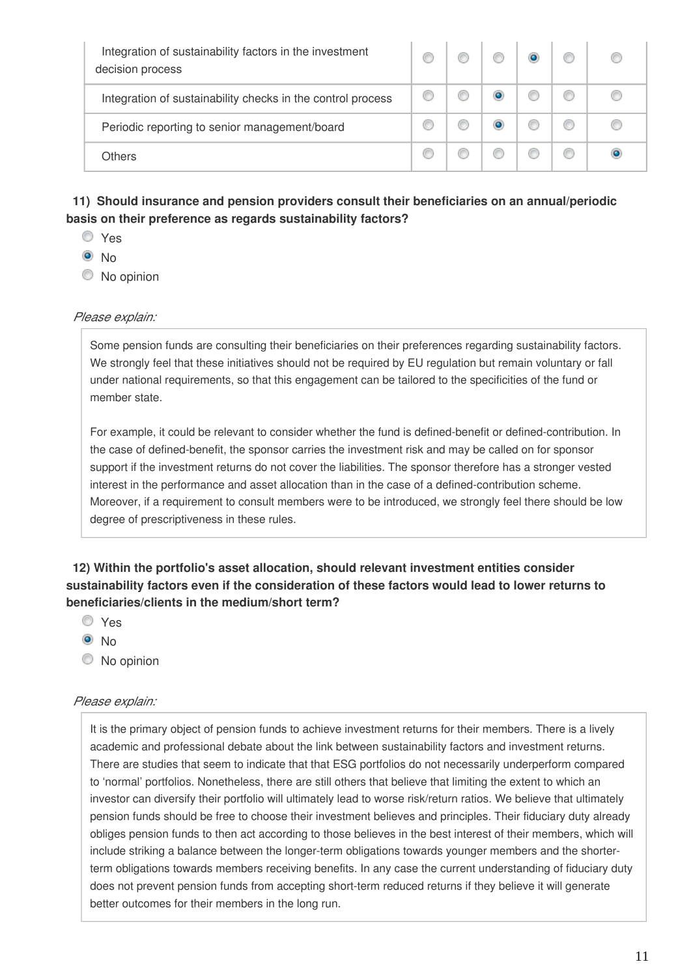| Integration of sustainability factors in the investment<br>decision process |  |  |  |
|-----------------------------------------------------------------------------|--|--|--|
| Integration of sustainability checks in the control process                 |  |  |  |
| Periodic reporting to senior management/board                               |  |  |  |
| <b>Others</b>                                                               |  |  |  |

### **11) Should insurance and pension providers consult their beneficiaries on an annual/periodic basis on their preference as regards sustainability factors?**

- Yes
- $\odot$  No
- C No opinion

#### *Please explain:*

Some pension funds are consulting their beneficiaries on their preferences regarding sustainability factors. We strongly feel that these initiatives should not be required by EU regulation but remain voluntary or fall under national requirements, so that this engagement can be tailored to the specificities of the fund or member state.

For example, it could be relevant to consider whether the fund is defined-benefit or defined-contribution. In the case of defined-benefit, the sponsor carries the investment risk and may be called on for sponsor support if the investment returns do not cover the liabilities. The sponsor therefore has a stronger vested interest in the performance and asset allocation than in the case of a defined-contribution scheme. Moreover, if a requirement to consult members were to be introduced, we strongly feel there should be low degree of prescriptiveness in these rules.

#### **12) Within the portfolio's asset allocation, should relevant investment entities consider sustainability factors even if the consideration of these factors would lead to lower returns to beneficiaries/clients in the medium/short term?**

- Yes
- <sup>O</sup>No
- C No opinion

#### *Please explain:*

It is the primary object of pension funds to achieve investment returns for their members. There is a lively academic and professional debate about the link between sustainability factors and investment returns. There are studies that seem to indicate that that ESG portfolios do not necessarily underperform compared to 'normal' portfolios. Nonetheless, there are still others that believe that limiting the extent to which an investor can diversify their portfolio will ultimately lead to worse risk/return ratios. We believe that ultimately pension funds should be free to choose their investment believes and principles. Their fiduciary duty already obliges pension funds to then act according to those believes in the best interest of their members, which will include striking a balance between the longer-term obligations towards younger members and the shorterterm obligations towards members receiving benefits. In any case the current understanding of fiduciary duty does not prevent pension funds from accepting short-term reduced returns if they believe it will generate better outcomes for their members in the long run.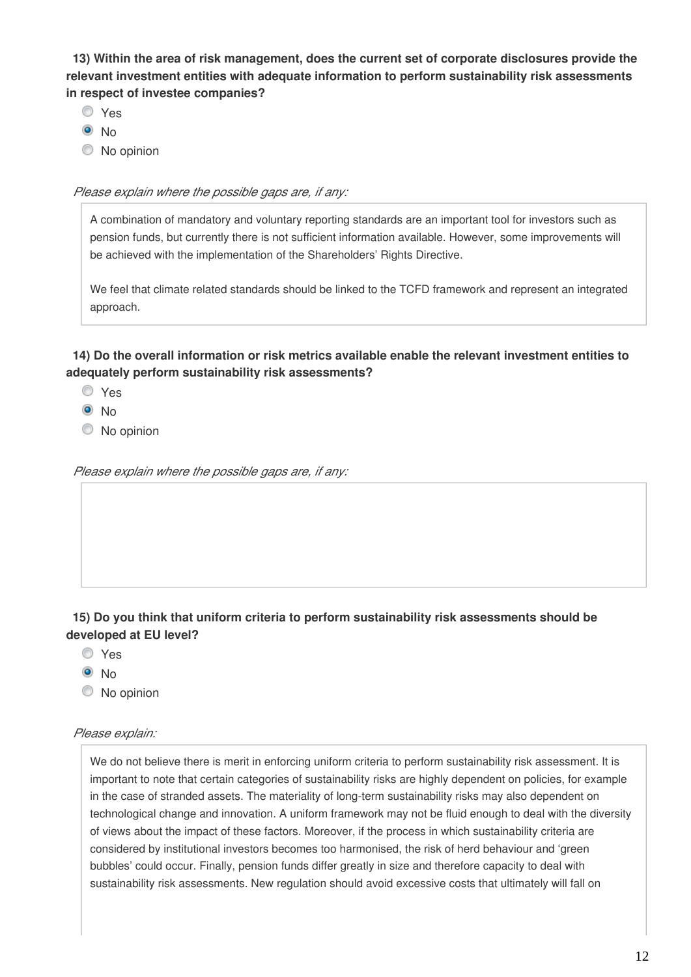**13) Within the area of risk management, does the current set of corporate disclosures provide the relevant investment entities with adequate information to perform sustainability risk assessments in respect of investee companies?**

- Yes
- $\odot$  No
- $\bullet$  No opinion

*Please explain where the possible gaps are, if any:*

A combination of mandatory and voluntary reporting standards are an important tool for investors such as pension funds, but currently there is not sufficient information available. However, some improvements will be achieved with the implementation of the Shareholders' Rights Directive.

We feel that climate related standards should be linked to the TCFD framework and represent an integrated approach.

**14) Do the overall information or risk metrics available enable the relevant investment entities to adequately perform sustainability risk assessments?**

- Yes
- $\odot$  No
- C No opinion

*Please explain where the possible gaps are, if any:*

#### **15) Do you think that uniform criteria to perform sustainability risk assessments should be developed at EU level?**

- Yes
- **O** No
- C No opinion

#### *Please explain:*

We do not believe there is merit in enforcing uniform criteria to perform sustainability risk assessment. It is important to note that certain categories of sustainability risks are highly dependent on policies, for example in the case of stranded assets. The materiality of long-term sustainability risks may also dependent on technological change and innovation. A uniform framework may not be fluid enough to deal with the diversity of views about the impact of these factors. Moreover, if the process in which sustainability criteria are considered by institutional investors becomes too harmonised, the risk of herd behaviour and 'green bubbles' could occur. Finally, pension funds differ greatly in size and therefore capacity to deal with sustainability risk assessments. New regulation should avoid excessive costs that ultimately will fall on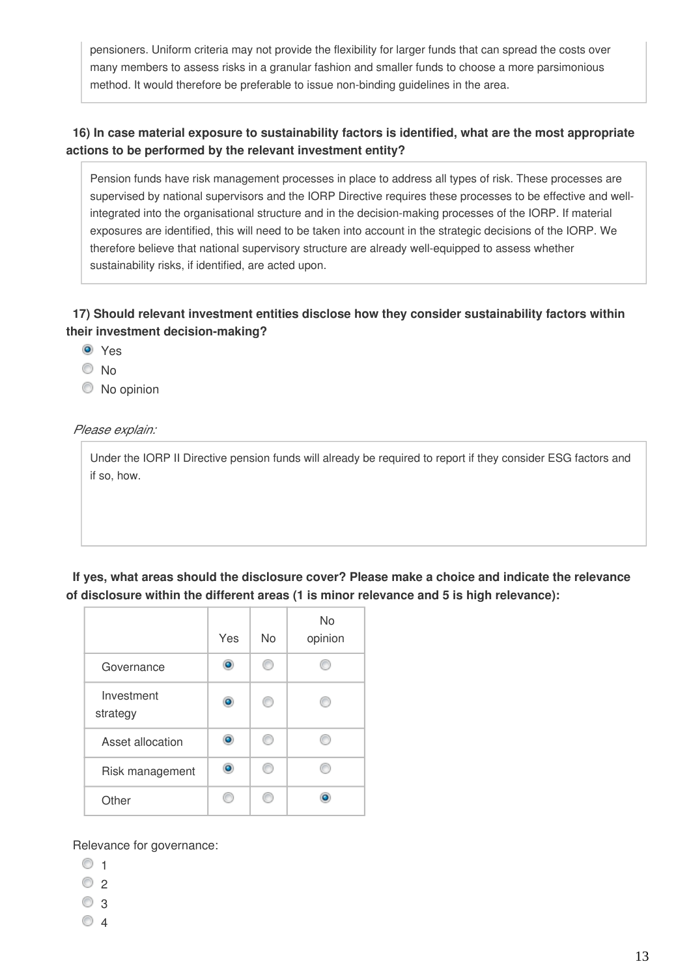pensioners. Uniform criteria may not provide the flexibility for larger funds that can spread the costs over many members to assess risks in a granular fashion and smaller funds to choose a more parsimonious method. It would therefore be preferable to issue non-binding guidelines in the area.

#### **16) In case material exposure to sustainability factors is identified, what are the most appropriate actions to be performed by the relevant investment entity?**

Pension funds have risk management processes in place to address all types of risk. These processes are supervised by national supervisors and the IORP Directive requires these processes to be effective and wellintegrated into the organisational structure and in the decision-making processes of the IORP. If material exposures are identified, this will need to be taken into account in the strategic decisions of the IORP. We therefore believe that national supervisory structure are already well-equipped to assess whether sustainability risks, if identified, are acted upon.

#### **17) Should relevant investment entities disclose how they consider sustainability factors within their investment decision-making?**

- Yes
- No
- $\bullet$  No opinion

#### *Please explain:*

Under the IORP II Directive pension funds will already be required to report if they consider ESG factors and if so, how.

**If yes, what areas should the disclosure cover? Please make a choice and indicate the relevance of disclosure within the different areas (1 is minor relevance and 5 is high relevance):**

|                        | Yes | <b>No</b> | <b>No</b><br>opinion |
|------------------------|-----|-----------|----------------------|
| Governance             | ō   |           |                      |
| Investment<br>strategy | ō   | O         |                      |
| Asset allocation       | ٥   | m         |                      |
| Risk management        |     |           |                      |
| Other                  |     |           |                      |

Relevance for governance:

- $\circ$  1
- $\circ$  2
- $\circ$  3
- $\circ$  4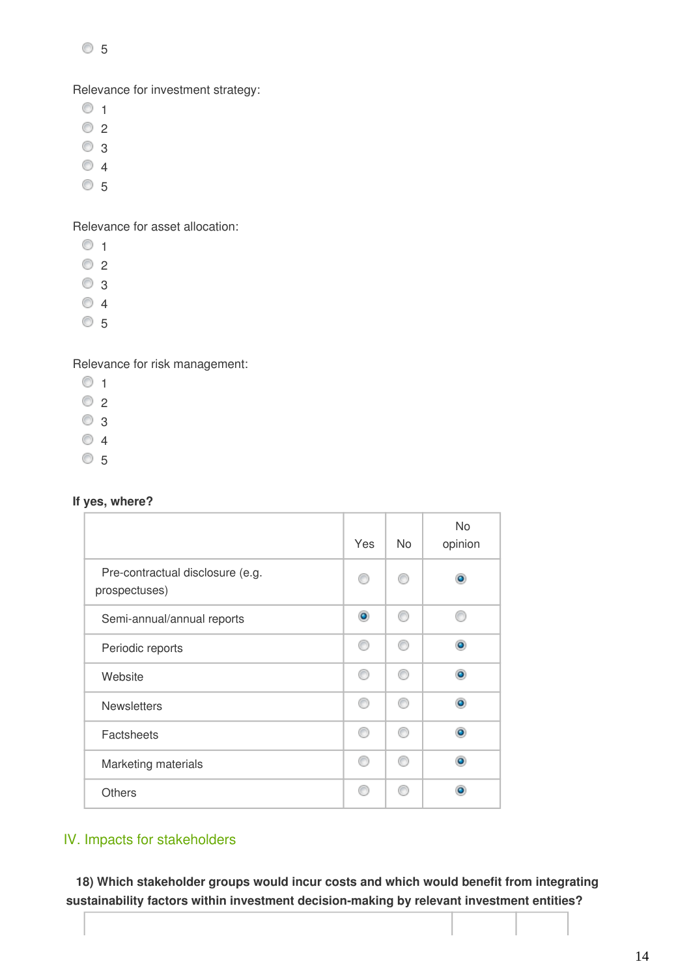$\circ$  5

Relevance for investment strategy:

- $\circ$  1
- $\circ$  2
- $\circ$  3
- $\circ$  4
- $\circ$  5

Relevance for asset allocation:

- $\circ$
- $\circ$  2
- © 3
- $\circ$  4
- 5

Relevance for risk management:

- $\circ$  1
- $\circ$  2
- © 3
- $\circ$  4
- 5

#### **If yes, where?**

|                                                   | Yes | N <sub>o</sub> | <b>No</b><br>opinion |
|---------------------------------------------------|-----|----------------|----------------------|
| Pre-contractual disclosure (e.g.<br>prospectuses) | ⊙   |                | ۰                    |
| Semi-annual/annual reports                        | ۰   | ⋒              |                      |
| Periodic reports                                  | ⋒   | ⋒              | ۵                    |
| Website                                           | ⊙   | ⋒              | ۵                    |
| <b>Newsletters</b>                                | ⊙   | m              | ۵                    |
| Factsheets                                        | ⋒   |                | ۵                    |
| Marketing materials                               | ∩   | ⋒              | ۵                    |
| <b>Others</b>                                     | A   |                | ۵                    |

### IV. Impacts for stakeholders

**18) Which stakeholder groups would incur costs and which would benefit from integrating sustainability factors within investment decision-making by relevant investment entities?**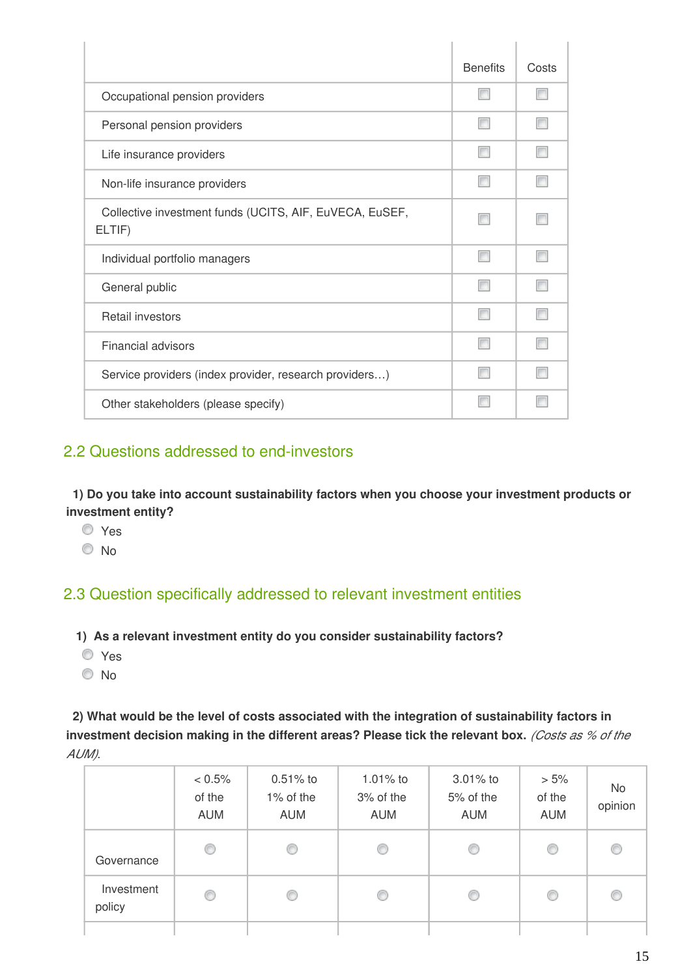|                                                                   | <b>Benefits</b> | Costs |
|-------------------------------------------------------------------|-----------------|-------|
| Occupational pension providers                                    |                 |       |
| Personal pension providers                                        |                 |       |
| Life insurance providers                                          |                 |       |
| Non-life insurance providers                                      |                 |       |
| Collective investment funds (UCITS, AIF, EuVECA, EuSEF,<br>ELTIF) |                 |       |
| Individual portfolio managers                                     | F               |       |
| General public                                                    | F               |       |
| Retail investors                                                  |                 |       |
| <b>Financial advisors</b>                                         |                 |       |
| Service providers (index provider, research providers)            |                 |       |
| Other stakeholders (please specify)                               |                 |       |

## 2.2 Questions addressed to end-investors

**1) Do you take into account sustainability factors when you choose your investment products or investment entity?**

- Yes
- No

## 2.3 Question specifically addressed to relevant investment entities

- **1) As a relevant investment entity do you consider sustainability factors?**
- Yes
- <sup>O</sup>No

**2) What would be the level of costs associated with the integration of sustainability factors in investment decision making in the different areas? Please tick the relevant box.** *(Costs as % of the AUM)*.

|                      | $< 0.5\%$<br>of the<br>AUM | $0.51%$ to<br>1% of the<br><b>AUM</b> | 1.01% to<br>3% of the<br><b>AUM</b> | $3.01\%$ to<br>5% of the<br><b>AUM</b> | $> 5\%$<br>of the<br><b>AUM</b> | <b>No</b><br>opinion |
|----------------------|----------------------------|---------------------------------------|-------------------------------------|----------------------------------------|---------------------------------|----------------------|
| Governance           | ⊙                          | O                                     | ⊙                                   | ⊙                                      | O                               | €                    |
| Investment<br>policy | ◎                          | ◎                                     | ⊙                                   | ⊙                                      | O                               | €                    |
|                      |                            |                                       |                                     |                                        |                                 |                      |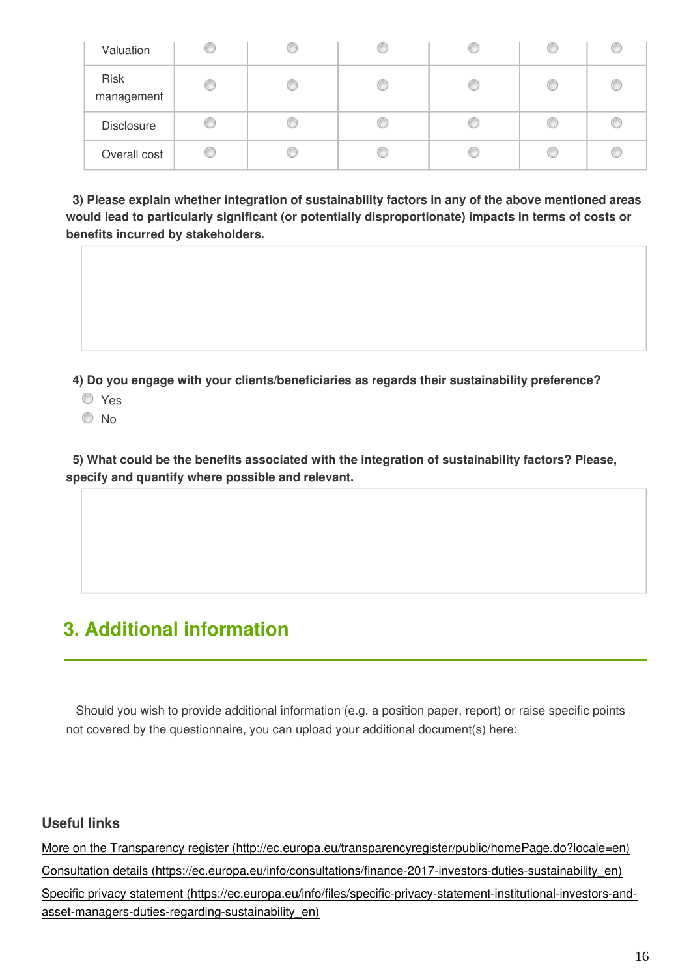| Valuation                 |   |  | w |  |
|---------------------------|---|--|---|--|
| <b>Risk</b><br>management | œ |  |   |  |
| Disclosure                |   |  |   |  |
| Overall cost              | œ |  |   |  |

**3) Please explain whether integration of sustainability factors in any of the above mentioned areas would lead to particularly significant (or potentially disproportionate) impacts in terms of costs or benefits incurred by stakeholders.**

**4) Do you engage with your clients/beneficiaries as regards their sustainability preference?**

- Yes
- © No

**5) What could be the benefits associated with the integration of sustainability factors? Please, specify and quantify where possible and relevant.**

## **3. Additional information**

 Should you wish to provide additional information (e.g. a position paper, report) or raise specific points not covered by the questionnaire, you can upload your additional document(s) here:

### **Useful links**

[More on the Transparency register \(http://ec.europa.eu/transparencyregister/public/homePage.do?locale=en\)](http://ec.europa.eu/transparencyregister/public/homePage.do?locale=en) [Consultation details \(https://ec.europa.eu/info/consultations/finance-2017-investors-duties-sustainability\\_en\)](https://ec.europa.eu/info/consultations/finance-2017-investors-duties-sustainability_en) [Specific privacy statement \(https://ec.europa.eu/info/files/specific-privacy-statement-institutional-investors-and](https://ec.europa.eu/info/files/specific-privacy-statement-institutional-investors-and-asset-managers-duties-regarding-sustainability_en)asset-managers-duties-regarding-sustainability en)